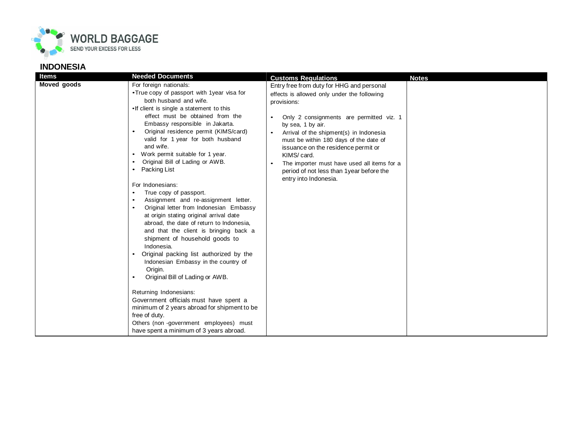

## **INDONESIA**

| <b>Customs Regulations</b><br><b>Notes</b><br>Moved goods<br>For foreign nationals:<br>Entry free from duty for HHG and personal<br>•True copy of passport with 1 year visa for<br>effects is allowed only under the following<br>both husband and wife.<br>provisions:<br>. If client is single a statement to this<br>effect must be obtained from the<br>Only 2 consignments are permitted viz. 1<br>Embassy responsible in Jakarta.<br>by sea, 1 by air.                                                                                                                                                                                                                                                                                                                                                                                                                                                                                                                                                                                                                                                                             |  |
|------------------------------------------------------------------------------------------------------------------------------------------------------------------------------------------------------------------------------------------------------------------------------------------------------------------------------------------------------------------------------------------------------------------------------------------------------------------------------------------------------------------------------------------------------------------------------------------------------------------------------------------------------------------------------------------------------------------------------------------------------------------------------------------------------------------------------------------------------------------------------------------------------------------------------------------------------------------------------------------------------------------------------------------------------------------------------------------------------------------------------------------|--|
| Original residence permit (KIMS/card)<br>Arrival of the shipment(s) in Indonesia<br>valid for 1 year for both husband<br>must be within 180 days of the date of<br>and wife.<br>issuance on the residence permit or<br>Work permit suitable for 1 year.<br>KIMS/ card.<br>Original Bill of Lading or AWB.<br>The importer must have used all items for a<br>Packing List<br>period of not less than 1 year before the<br>entry into Indonesia.<br>For Indonesians:<br>True copy of passport.<br>Assignment and re-assignment letter.<br>$\bullet$<br>Original letter from Indonesian Embassy<br>at origin stating original arrival date<br>abroad, the date of return to Indonesia,<br>and that the client is bringing back a<br>shipment of household goods to<br>Indonesia.<br>Original packing list authorized by the<br>Indonesian Embassy in the country of<br>Origin.<br>Original Bill of Lading or AWB.<br>Returning Indonesians:<br>Government officials must have spent a<br>minimum of 2 years abroad for shipment to be<br>free of duty.<br>Others (non-government employees) must<br>have spent a minimum of 3 years abroad. |  |